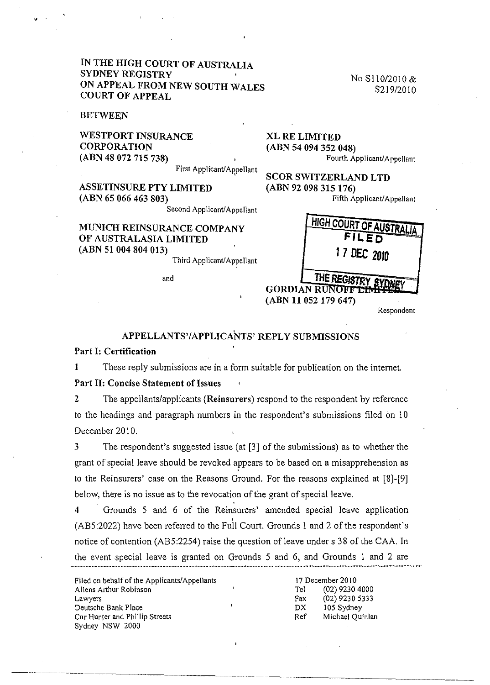## **IN THE HIGH COURT OF AUSTRALIA SYDNEY REGISTRY ON APPEAL FROM NEW SOUTH WALES COURT OF APPEAL**

**BETWEEN** 

**WESTPORT INSURANCE CORPORATION (ABN 48 072 715 738)**  First Applicant/Appellant No SII0/2010 & S219/2010

**XL RE LIMITED (ABN 54 094 352 048)**  Fourth Applicant/Appellant

**SCOR SWITZERLAND LTD (ABN 92 098 315 176)**  Fifth Applicant/Appellant

**ASSETINSURE PTY LIMITED (ABN 65 066 463 803)** 

Second Applicant/Appellant

# **MUNICH REINSURANCE COMP OF AUSTRALASIA LIMITED (ABN 51004804013)**

Third Applicant

and

| <b>ANY</b> | <b>HIGH COURT OF AUSTRALIA</b><br><b>FILED</b> |  |
|------------|------------------------------------------------|--|
| /Appellant | 17 DEC 2010                                    |  |
|            | THE REGISTRY SY<br>(ABN 11 052 179 647)        |  |

Respondent

# **APPELLANTS'/APPLICANTS' REPLY SUBMISSIONS**

#### **Part I: Certification**

I These reply submissions are in a form suitable for publication on the internet.

## **Part 11: Concise Statement of Issues**

2 The appellantslapplicants **(Reinsurers)** respond to the respondent by reference to the headings and paragraph numbers in the respondent's submissions filed on 10 December 2010.

3 The respondent's suggested issue (at [3) of the submissions) as to whether the grant of special leave should be revoked appears to be based on a misapprehension as to the Reinsurers' case on the Reasons Ground. For the reasons explained at [8)-[9) below, there is no issue as to the revocation of the grant of special leave.

4 Grounds 5 and 6 of the Reinsurers' amended special leave application , (AB5:2022) have been referred to the Full Court. Grounds I and 2 of the respondent's notice of contention (AB5:2254) raise the question of leave under s 38 of the CAA. In the event special leave is granted on Grounds 5 and 6, and Grounds 1 and 2 are

| Filed on behalf of the Applicants/Appellants |  |  |
|----------------------------------------------|--|--|
| Allens Arthur Robinson                       |  |  |
| Lawyers                                      |  |  |
| Deutsche Bank Place                          |  |  |
| Cnr Hunter and Phillip Streets               |  |  |
| Sydney NSW 2000                              |  |  |

17 December 2010 Tel (02) 9230 4000 Fax (02) 9230 5333 DX 105 Sydney Ref Michael Quinlan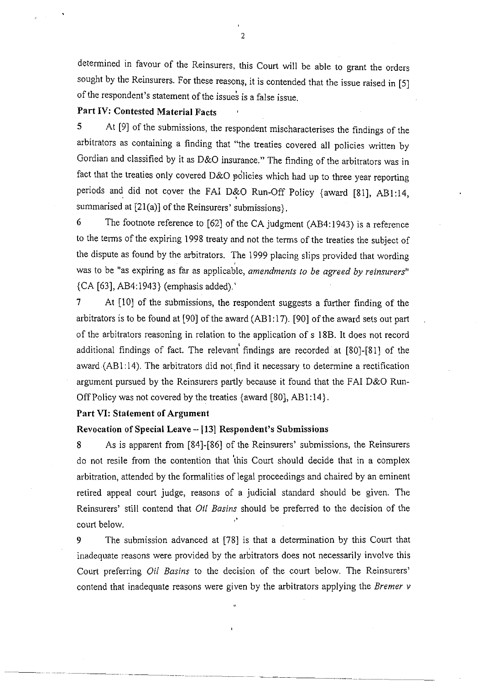determined in favour of the Reinsurers, this Court will be able to grant the orders sought by the Reinsurers. For these reasons, it is contended that the issue raised in [5] of the respondent's statement of the issues is a false issue.

# Part IV; Contested Material Facts

5 At [9] of the submissions, the respondent mischaracterises the findings of the arbitrators as containing a finding that "the treaties covered all policies written by Gordian and classified by it as 0&0 insurance." The finding of the arbitrators was in fact that the treaties only covered D&O policies which had up to three year reporting periods and did not cover the FAI D&O Run-Off Policy {award [81], AB1:14, summarised at  $[21(a)]$  of the Reinsurers' submissions}.

6 The footnote reference to [62] of the CA judgment (AB4: 1943) is a reference to the terms of the expiring 1998 treaty and not the terms of the treaties the subject of the dispute as found by the arbitrators. The 1999 placing slips provided that wording was to be "as expiring as far as applicable, *amendments to be agreed by reinsurers*" {CA [63], AB4:1943} (emphasis added).'

7 At [10] of the submissions, the respondent suggests a further finding of the arbitrators is to be found at [90] of the award (AB 1: 17). [90] of the award sets out part of the arbitrators reasoning in relation to the application of s 18B. It does not record additional findings of fact. The relevant findings are recorded at [80]-[81] of the award (AB1:14). The arbitrators did not find it necessary to determine a rectification argument pursued by the Reinsurers partly because it found that the FAI D&O Run-Off Policy was not covered by the treaties {award [80], AB 1: 14}.

#### Part VI: Statement of Argument

#### Revocation of Special Leave - [13] Respondent's Submissions

8 As is apparent from [84]-[86] of the Reinsurers' submissions, the Reinsurers do not resile from the contention that 'this Court should decide that in a complex arbitration, attended by the formalities of legal proceedings and chaired by an eminent retired appeal court judge, reasons of a judicial standard should be given. The Reinsurers' still contend that *Oil Basins* should be preferred to the decision of the court below.

9 The submission advanced at [78] is that a determination by this Court that inadequate reasons were provided by the arbitrators does not necessarily involve this Court preferring *Oil Basins* to the decision of the court below. The Reinsurers' contend that inadequate reasons were given by the arbitrators applying the *Bremer v* 

"

2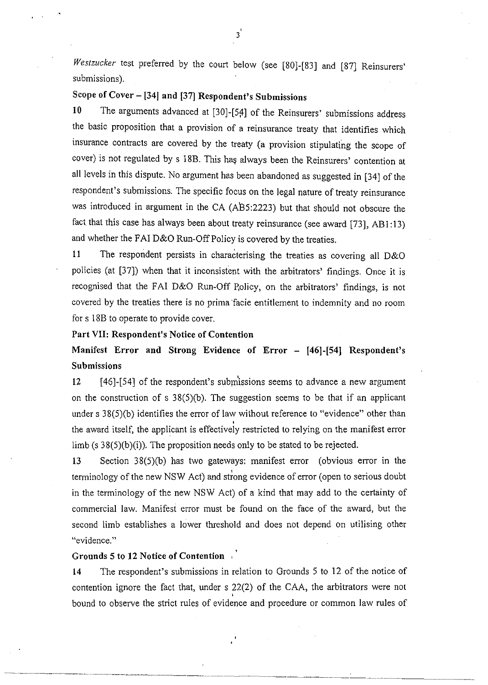*WeSlzucker* test preferred by the court below (see [80)-[83) and [87) Reinsurers' submissions).

# Scope of Cover - [34] and [37] Respondent's Submissions

10 The arguments advanced at [30)-[5f1) of the Reinsurers' submissions address the basic proposition that a provision of a reinsurance treaty that identifies which insurance contracts are covered by the treaty (a provision stipulating the scope of cover) is not regulated by s 18B. This has always been the Reinsurers' contention at all levels in this dispute. No argument has been abandoned as suggested in [34) of the respondent's submissions. The specific focus on the legal nature of treaty reinsurance was introduced in argument in the CA (AB5:2223) but that should not obscure the fact that this case has always been about treaty reinsurance (see award [73), AB1:l3) and whether the FAI D&O Run-Off Policy is covered by the treaties.

11 The respondent persists in characterising the treaties as covering all D&O policies (at [37)) when that it inconsistent with the arbitrators' findings. Once it is recognised that the FAI D&O Run-Off Policy, on the arbitrators' findings, is not covered by the treaties there is no prima 'facie entitlement to indemnity and no room for s 18B to operate to provide cover.

## Part VII: Respondent's Notice of Contention

Manifest Error and Strong Evidence of Error - [46]-[54] Respondent's Submissions

12 [46]-[54] of the respondent's submissions seems to advance a new argument on the construction of s  $38(5)(b)$ . The suggestion seems to be that if an applicant under s 38(5)(b) identifies the error of law without reference to "evidence" other than the award itself, the applicant is effectively restricted to relying on the manifest error limb (s  $38(5)(b)(i)$ ). The proposition needs only to be stated to be rejected.

13 Section 38(5)(b) has two gateways: manifest error (obvious error in the terminology of the new NSW Act) and strong evidence of error (open to serious doubt in the terminology of the new NSW Act) of a kind that may add to the certainty of commercial law. Manifesi error must be found on the face of the award, but the second limb establishes a lower threshold and does not depend on utilising other "evidence."

#### Grounds 5 to 12 Notice of Contention

~ -~-.-~-~--~------------~

14 The respondent's submissions in relation to Grounds 5 to 12 of the notice of contention ignore the fact that, under s 22(2) of the CAA, the arbitrators were not bound to observe the strict rules of evidence and procedure or common law rules of

-----"---.--"----,,-~--~~-~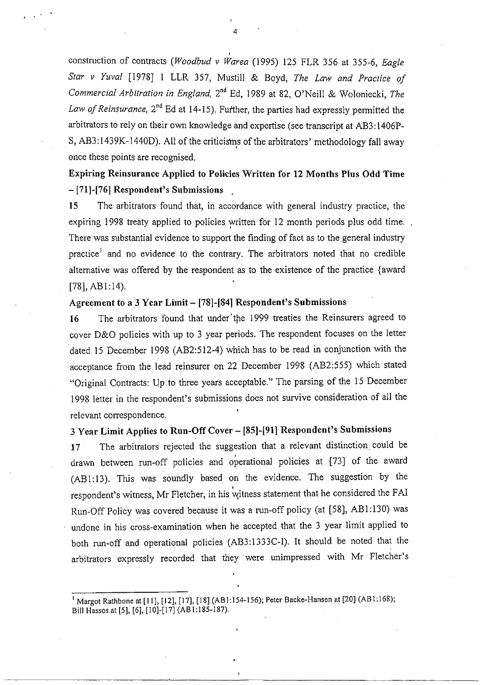construction of contracts *(Woodbud v Warea* (1995) 125 FLR 356 at 355-6, *Eagle Star v Yuval* [1978) I LLR 357, Mustill & Boyd, *The Law and Practice of Commercial Arbitration in England,* 2nd Ed, 1989 at 82, O'Neill & Woloniecki, *The*  Law of Reinsurance, 2<sup>nd</sup> Ed at 14-15). Further, the parties had expressly permitted the arbitrators to rely on their own knowledge and expertise (see transcript at AB3:1406P-S, AB3:1439K-1440D). All of the criticisms of the arbitrators' methodology fall away once these points are recognised,

Expiring Reinsurance Applied to Policies Written for 12 Months Plus Odd Time  $-$  [71]-[76] Respondent's Submissions

15 The arbitrators found that, in accordance with general industry practice, the expiring 1998 treaty applied to policies written for 12 month periods plus odd time. There was substantial evidence to support the finding of fact as to the general industry practice<sup>1</sup> and no evidence to the contrary. The arbitrators noted that no credible alternative was offered by the respondent as to the existence of the practice {award  $[78]$ , AB $1:14$ ).

# Agreement to a 3 Year Limit - [78]-[84] Respondent's Submissions

16 The arbitrators found that under the 1999 treaties the Reinsurers agreed to cover D&O policies with up to 3 year periods, The respondent focuses on the letter dated 15 December 1998 (AB2:512-4) which has to be read in conjunction with the acceptance from the lead reinsurer on 22 December 1998 (AB2:555) which stated "Original Contracts: Up to three years acceptable." The parsing of the 15 December 1998 letter in the respondent's submissions does not survive consideration of all the relevant correspondence,

# 3 Year Limit Applies to Run-Off Cover - [85]-[91] Respondent's Submissions

17 The arbitrators rejected the suggestion that a relevant distinction could be drawn between run-off policies and operational policies at [73) of the award (ABI:13), This was soundly based on the evidence, The suggestion by the respondent's witness, Mr Fletcher, in his witness statement that he considered the FAI Run-Off Policy was covered because it was a run-off policy (at [58], AB1:130) was undone in his cross-examination when he accepted that the 3 year limit applied to both run-off and operational policies (AB3:1333C-!), It should be noted that the arbitrators expressly recorded that they' were unimpressed with Mr Fletcher's

4

,

 $, \cdot$ 

<sup>&</sup>lt;sup>1</sup> Margot Rathbone at [11], [12], [17], [18] (AB1:154-156); Peter Backe-Hansen at [20] (AB1:168); Bil1 Hassos at [5]. [6]. [10]-[17] (ABl:185-187),